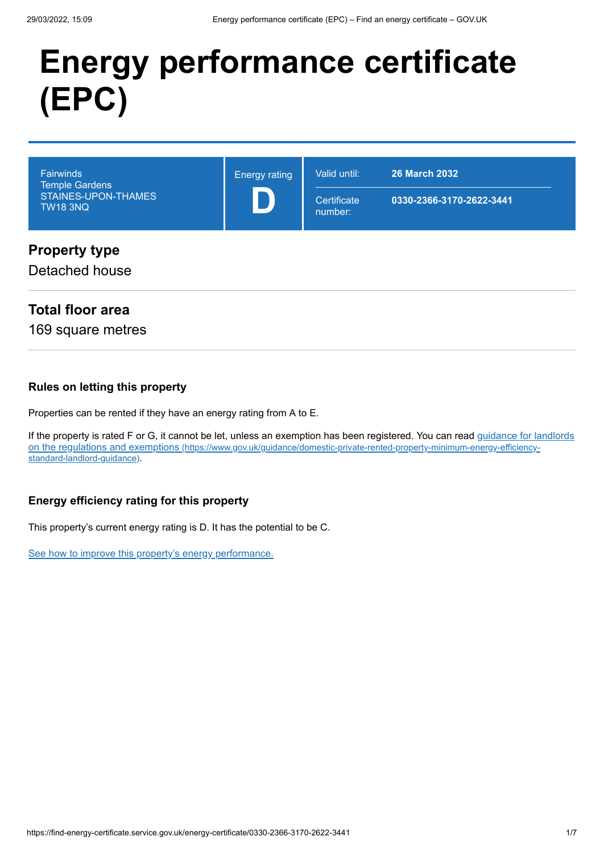# **Energy performance certificate (EPC)**

| <b>Fairwinds</b><br><b>Temple Gardens</b><br>STAINES-UPON-THAMES<br><b>TW18 3NQ</b> | <b>Energy rating</b> | Valid until:<br>Certificate<br>number: | <b>26 March 2032</b><br>0330-2366-3170-2622-3441 |
|-------------------------------------------------------------------------------------|----------------------|----------------------------------------|--------------------------------------------------|
| <b>Property type</b><br>Detached house                                              |                      |                                        |                                                  |

# **Total floor area**

169 square metres

#### **Rules on letting this property**

Properties can be rented if they have an energy rating from A to E.

[If the property is rated F or G, it cannot be let, unless an exemption has been registered. You can read guidance for landlords](https://www.gov.uk/guidance/domestic-private-rented-property-minimum-energy-efficiency-standard-landlord-guidance) on the regulations and exemptions (https://www.gov.uk/guidance/domestic-private-rented-property-minimum-energy-efficiencystandard-landlord-guidance).

#### **Energy efficiency rating for this property**

This property's current energy rating is D. It has the potential to be C.

[See how to improve this property's energy performance.](#page-3-0)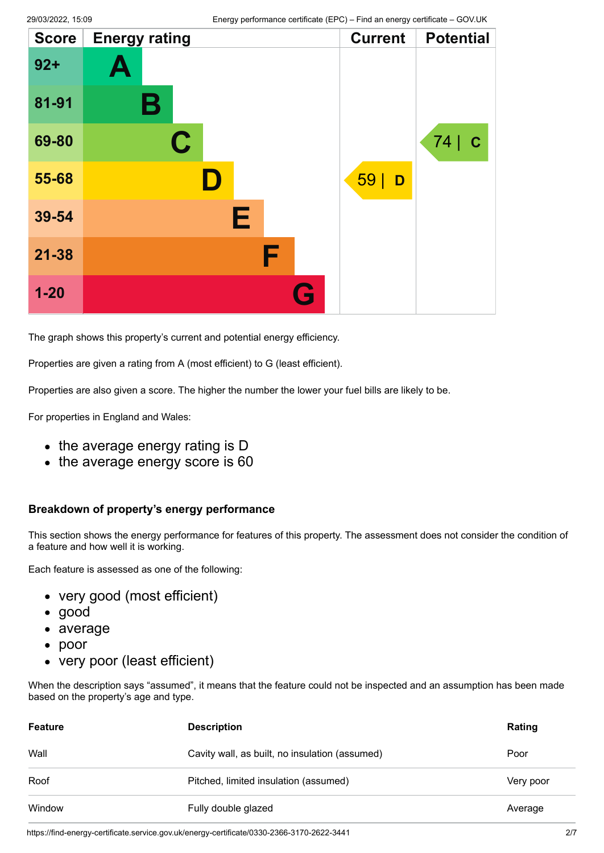| <b>Score</b> | <b>Energy rating</b> | <b>Current</b> | <b>Potential</b>   |
|--------------|----------------------|----------------|--------------------|
| $92 +$       | A                    |                |                    |
| 81-91        | Β                    |                |                    |
| 69-80        | $\mathbf C$          |                | 74 <br>$\mathbf C$ |
| 55-68        | D                    | 59<br>D        |                    |
| 39-54        | Е                    |                |                    |
| $21 - 38$    | F                    |                |                    |
| $1 - 20$     | G                    |                |                    |

The graph shows this property's current and potential energy efficiency.

Properties are given a rating from A (most efficient) to G (least efficient).

Properties are also given a score. The higher the number the lower your fuel bills are likely to be.

For properties in England and Wales:

- the average energy rating is D
- the average energy score is 60

#### **Breakdown of property's energy performance**

This section shows the energy performance for features of this property. The assessment does not consider the condition of a feature and how well it is working.

Each feature is assessed as one of the following:

- very good (most efficient)
- good
- average
- poor
- very poor (least efficient)

When the description says "assumed", it means that the feature could not be inspected and an assumption has been made based on the property's age and type.

| <b>Feature</b> | <b>Description</b>                             | Rating    |
|----------------|------------------------------------------------|-----------|
| Wall           | Cavity wall, as built, no insulation (assumed) | Poor      |
| Roof           | Pitched, limited insulation (assumed)          | Very poor |
| Window         | Fully double glazed                            | Average   |

https://find-energy-certificate.service.gov.uk/energy-certificate/0330-2366-3170-2622-3441 2/7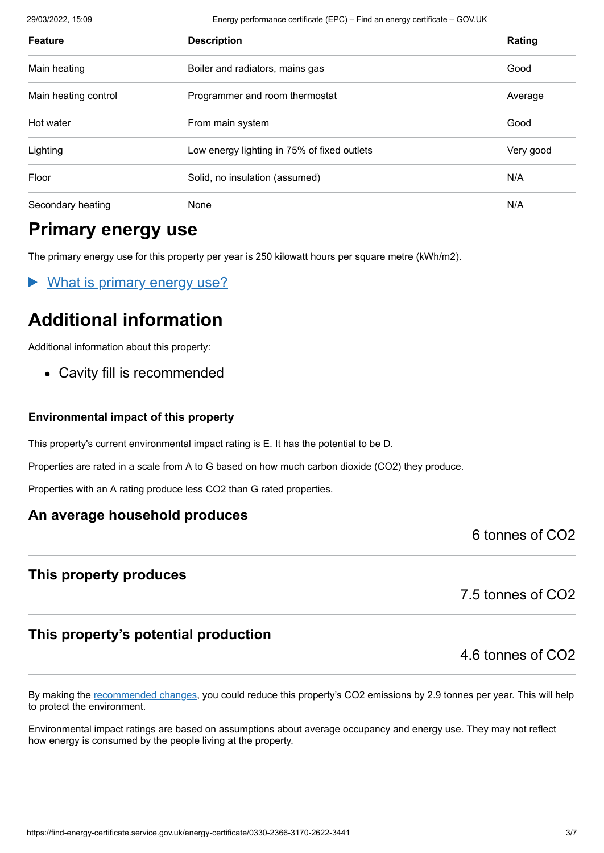29/03/2022, 15:09 Energy performance certificate (EPC) – Find an energy certificate – GOV.UK

| <b>Feature</b>       | <b>Description</b>                          | Rating    |
|----------------------|---------------------------------------------|-----------|
| Main heating         | Boiler and radiators, mains gas             | Good      |
| Main heating control | Programmer and room thermostat              | Average   |
| Hot water            | From main system                            | Good      |
| Lighting             | Low energy lighting in 75% of fixed outlets | Very good |
| Floor                | Solid, no insulation (assumed)              | N/A       |
| Secondary heating    | None                                        | N/A       |

# **Primary energy use**

The primary energy use for this property per year is 250 kilowatt hours per square metre (kWh/m2).

What is primary energy use?

# **Additional information**

Additional information about this property:

Cavity fill is recommended

#### **Environmental impact of this property**

This property's current environmental impact rating is E. It has the potential to be D.

Properties are rated in a scale from A to G based on how much carbon dioxide (CO2) they produce.

Properties with an A rating produce less CO2 than G rated properties.

## **An average household produces**

6 tonnes of CO2

## **This property produces**

7.5 tonnes of CO2

# **This property's potential production**

4.6 tonnes of CO2

By making the [recommended changes](#page-3-0), you could reduce this property's CO2 emissions by 2.9 tonnes per year. This will help to protect the environment.

Environmental impact ratings are based on assumptions about average occupancy and energy use. They may not reflect how energy is consumed by the people living at the property.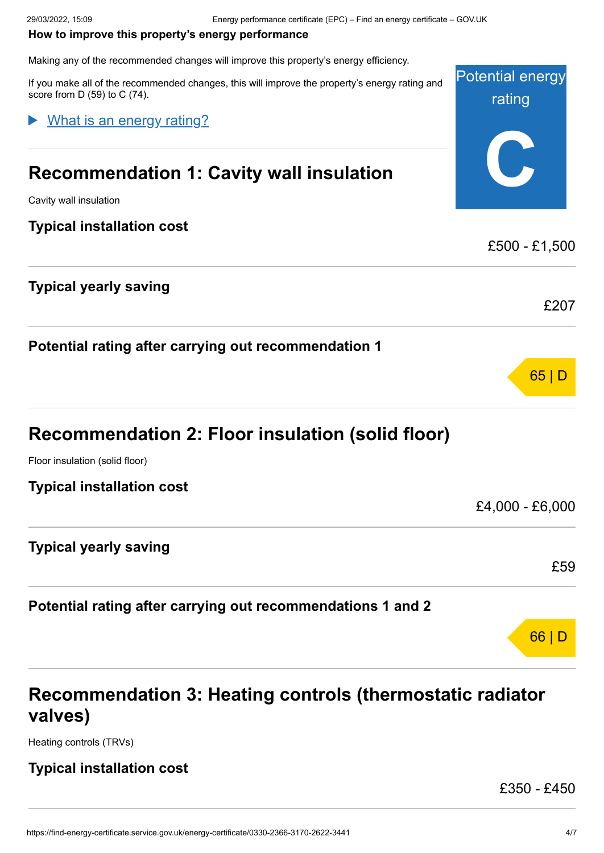#### <span id="page-3-0"></span>**How to improve this property's energy performance**

Making any of the recommended changes will improve this property's energy efficiency.

Potential energy rating **C** If you make all of the recommended changes, this will improve the property's energy rating and score from D (59) to C (74). **Recommendation 1: Cavity wall insulation** Cavity wall insulation **Typical installation cost** £500 - £1,500 **Typical yearly saving** £207 **Potential rating after carrying out recommendation 1** 65 | D **Recommendation 2: Floor insulation (solid floor)** Floor insulation (solid floor) **Typical installation cost** £4,000 - £6,000 **Typical yearly saving** £59 **Potential rating after carrying out recommendations 1 and 2** 66 | D What is an energy rating?

# **Recommendation 3: Heating controls (thermostatic radiator valves)**

Heating controls (TRVs)

## **Typical installation cost**

£350 - £450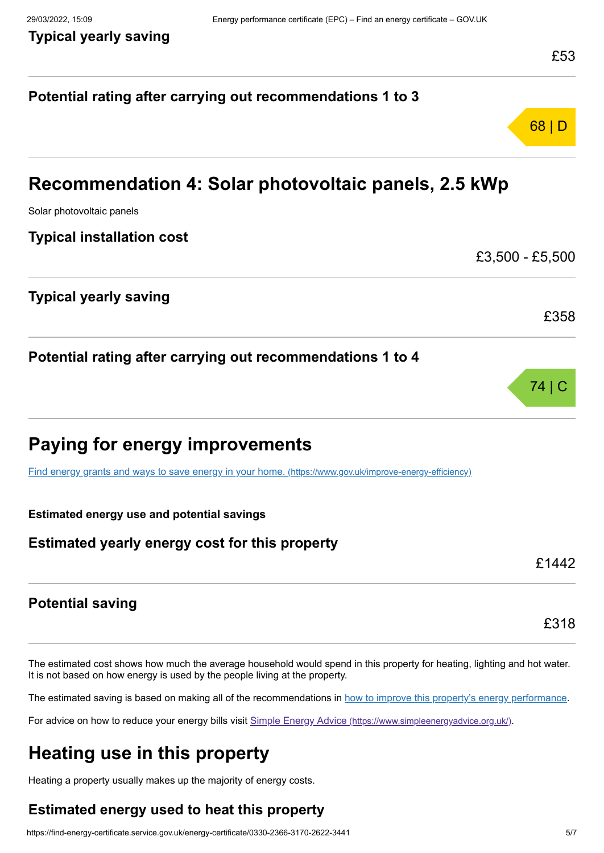# **Potential rating after carrying out recommendations 1 to 3** 68 | D **Recommendation 4: Solar photovoltaic panels, 2.5 kWp** Solar photovoltaic panels **Typical installation cost** £3,500 - £5,500 **Typical yearly saving** £358 **Potential rating after carrying out recommendations 1 to 4** 74 | C **Paying for energy improvements** [Find energy grants and ways to save energy in your home.](https://www.gov.uk/improve-energy-efficiency) (https://www.gov.uk/improve-energy-efficiency) **Estimated energy use and potential savings Estimated yearly energy cost for this property** £1442 **Potential saving** £318

The estimated cost shows how much the average household would spend in this property for heating, lighting and hot water. It is not based on how energy is used by the people living at the property.

The estimated saving is based on making all of the recommendations in [how to improve this property's energy performance.](#page-3-0)

For advice on how to reduce your energy bills visit Simple Energy Advice [\(https://www.simpleenergyadvice.org.uk/\)](https://www.simpleenergyadvice.org.uk/).

# **Heating use in this property**

Heating a property usually makes up the majority of energy costs.

# **Estimated energy used to heat this property**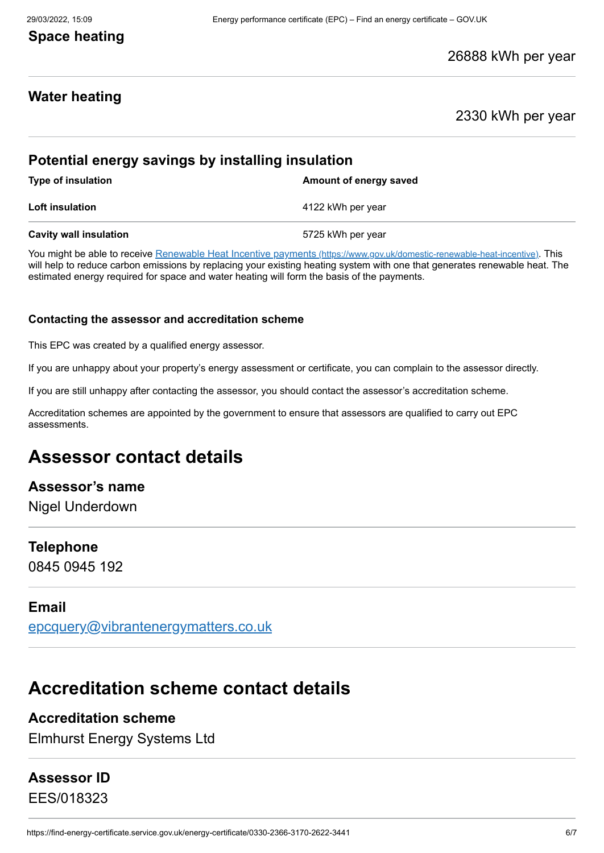## **Space heating**

#### 26888 kWh per year

## **Water heating**

#### 2330 kWh per year

## **Potential energy savings by installing insulation**

**Type of insulation Amount of energy saved** 

**Loft insulation** 4122 kWh per year

**Cavity wall insulation** 6725 kWh per year

You might be able to receive Renewable Heat Incentive payments [\(https://www.gov.uk/domestic-renewable-heat-incentive\)](https://www.gov.uk/domestic-renewable-heat-incentive). This will help to reduce carbon emissions by replacing your existing heating system with one that generates renewable heat. The estimated energy required for space and water heating will form the basis of the payments.

#### **Contacting the assessor and accreditation scheme**

This EPC was created by a qualified energy assessor.

If you are unhappy about your property's energy assessment or certificate, you can complain to the assessor directly.

If you are still unhappy after contacting the assessor, you should contact the assessor's accreditation scheme.

Accreditation schemes are appointed by the government to ensure that assessors are qualified to carry out EPC assessments.

# **Assessor contact details**

#### **Assessor's name**

Nigel Underdown

#### **Telephone**

0845 0945 192

#### **Email**

[epcquery@vibrantenergymatters.co.uk](mailto:epcquery@vibrantenergymatters.co.uk)

# **Accreditation scheme contact details**

# **Accreditation scheme**

Elmhurst Energy Systems Ltd

# **Assessor ID**

EES/018323